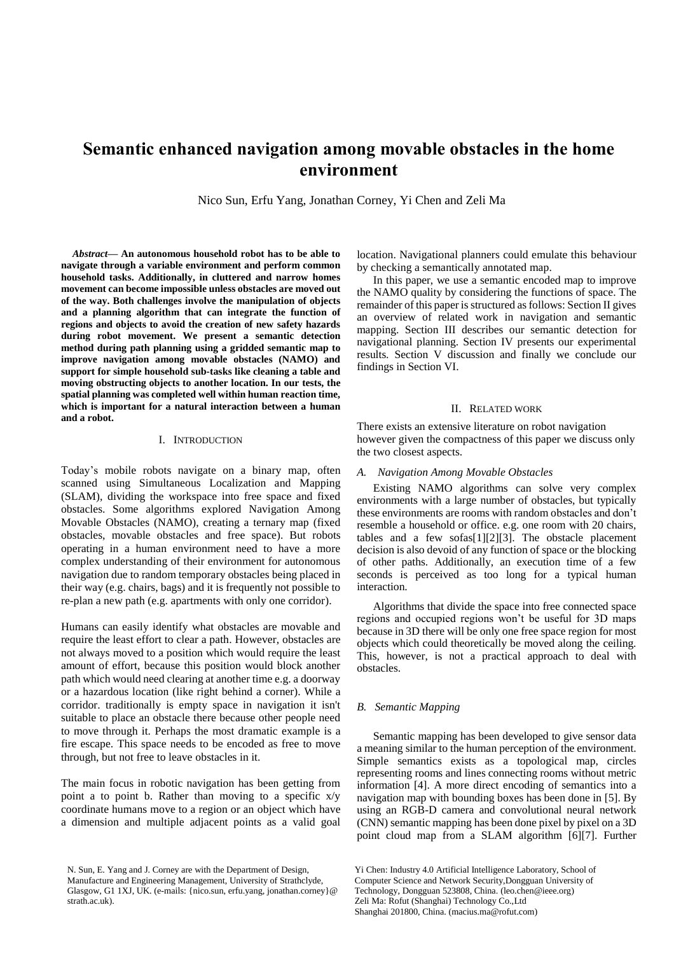# **Semantic enhanced navigation among movable obstacles in the home environment**

Nico Sun, Erfu Yang, Jonathan Corney, Yi Chen and Zeli Ma

*Abstract***— An autonomous household robot has to be able to navigate through a variable environment and perform common household tasks. Additionally, in cluttered and narrow homes movement can become impossible unless obstacles are moved out of the way. Both challenges involve the manipulation of objects and a planning algorithm that can integrate the function of regions and objects to avoid the creation of new safety hazards during robot movement. We present a semantic detection method during path planning using a gridded semantic map to improve navigation among movable obstacles (NAMO) and support for simple household sub-tasks like cleaning a table and moving obstructing objects to another location. In our tests, the spatial planning was completed well within human reaction time, which is important for a natural interaction between a human and a robot.**

# I. INTRODUCTION

Today's mobile robots navigate on a binary map, often scanned using Simultaneous Localization and Mapping (SLAM), dividing the workspace into free space and fixed obstacles. Some algorithms explored Navigation Among Movable Obstacles (NAMO), creating a ternary map (fixed obstacles, movable obstacles and free space). But robots operating in a human environment need to have a more complex understanding of their environment for autonomous navigation due to random temporary obstacles being placed in their way (e.g. chairs, bags) and it is frequently not possible to re-plan a new path (e.g. apartments with only one corridor).

Humans can easily identify what obstacles are movable and require the least effort to clear a path. However, obstacles are not always moved to a position which would require the least amount of effort, because this position would block another path which would need clearing at another time e.g. a doorway or a hazardous location (like right behind a corner). While a corridor. traditionally is empty space in navigation it isn't suitable to place an obstacle there because other people need to move through it. Perhaps the most dramatic example is a fire escape. This space needs to be encoded as free to move through, but not free to leave obstacles in it.

The main focus in robotic navigation has been getting from point a to point b. Rather than moving to a specific x/y coordinate humans move to a region or an object which have a dimension and multiple adjacent points as a valid goal location. Navigational planners could emulate this behaviour by checking a semantically annotated map.

In this paper, we use a semantic encoded map to improve the NAMO quality by considering the functions of space. The remainder of this paper is structured as follows: Section II gives an overview of related work in navigation and semantic mapping. Section III describes our semantic detection for navigational planning. Section IV presents our experimental results. Section V discussion and finally we conclude our findings in Section VI.

#### II. RELATED WORK

There exists an extensive literature on robot navigation however given the compactness of this paper we discuss only the two closest aspects.

### *A. Navigation Among Movable Obstacles*

Existing NAMO algorithms can solve very complex environments with a large number of obstacles, but typically these environments are rooms with random obstacles and don't resemble a household or office. e.g. one room with 20 chairs, tables and a few sofas[1][2][3]. The obstacle placement decision is also devoid of any function of space or the blocking of other paths. Additionally, an execution time of a few seconds is perceived as too long for a typical human interaction.

Algorithms that divide the space into free connected space regions and occupied regions won't be useful for 3D maps because in 3D there will be only one free space region for most objects which could theoretically be moved along the ceiling. This, however, is not a practical approach to deal with obstacles.

#### *B. Semantic Mapping*

Semantic mapping has been developed to give sensor data a meaning similar to the human perception of the environment. Simple semantics exists as a topological map, circles representing rooms and lines connecting rooms without metric information [4]. A more direct encoding of semantics into a navigation map with bounding boxes has been done in [5]. By using an RGB-D camera and convolutional neural network (CNN) semantic mapping has been done pixel by pixel on a 3D point cloud map from a SLAM algorithm [6][7]. Further

N. Sun, E. Yang and J. Corney are with the Department of Design, Manufacture and Engineering Management, University of Strathclyde, Glasgow, G1 1XJ, UK. (e-mails: {nico.sun, erfu.yang, jonathan.corney}@ strath.ac.uk).

Yi Chen: Industry 4.0 Artificial Intelligence Laboratory, School of Computer Science and Network Security,Dongguan University of Technology, Dongguan 523808, China. (leo.chen@ieee.org) Zeli Ma: Rofut (Shanghai) Technology Co.,Ltd Shanghai 201800, China. (macius.ma@rofut.com)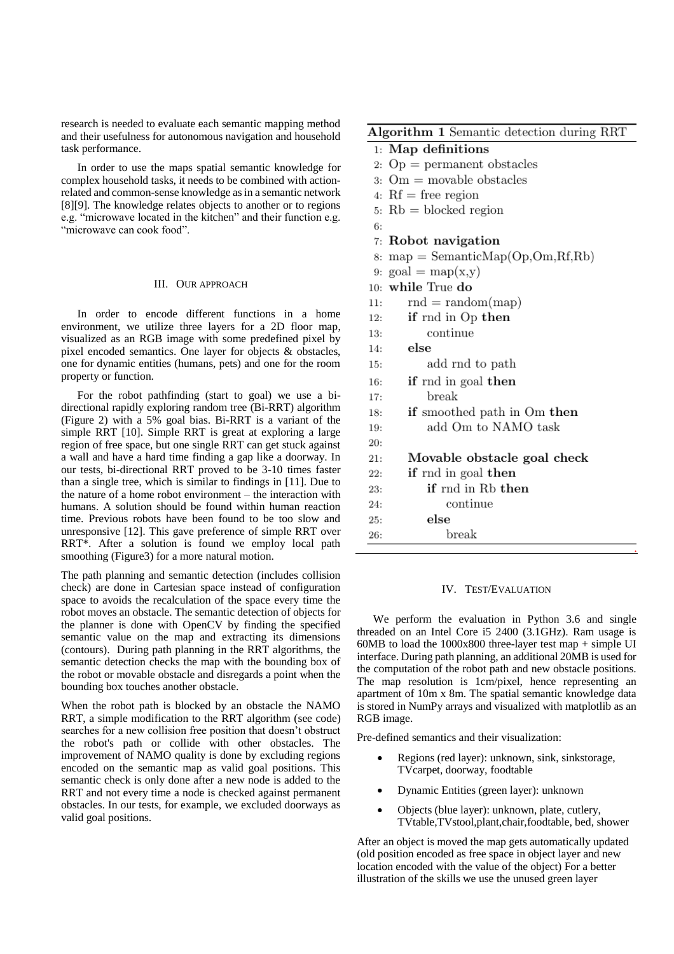research is needed to evaluate each semantic mapping method and their usefulness for autonomous navigation and household task performance.

In order to use the maps spatial semantic knowledge for complex household tasks, it needs to be combined with actionrelated and common-sense knowledge as in a semantic network [8][9]. The knowledge relates objects to another or to regions e.g. "microwave located in the kitchen" and their function e.g. "microwave can cook food".

## III. OUR APPROACH

In order to encode different functions in a home environment, we utilize three layers for a 2D floor map, visualized as an RGB image with some predefined pixel by pixel encoded semantics. One layer for objects & obstacles, one for dynamic entities (humans, pets) and one for the room property or function.

For the robot pathfinding (start to goal) we use a bidirectional rapidly exploring random tree (Bi-RRT) algorithm (Figure 2) with a 5% goal bias. Bi-RRT is a variant of the simple RRT [10]. Simple RRT is great at exploring a large region of free space, but one single RRT can get stuck against a wall and have a hard time finding a gap like a doorway. In our tests, bi-directional RRT proved to be 3-10 times faster than a single tree, which is similar to findings in [11]. Due to the nature of a home robot environment – the interaction with humans. A solution should be found within human reaction time. Previous robots have been found to be too slow and unresponsive [12]. This gave preference of simple RRT over RRT\*. After a solution is found we employ local path smoothing (Figure3) for a more natural motion.

The path planning and semantic detection (includes collision check) are done in Cartesian space instead of configuration space to avoids the recalculation of the space every time the robot moves an obstacle. The semantic detection of objects for the planner is done with OpenCV by finding the specified semantic value on the map and extracting its dimensions (contours). During path planning in the RRT algorithms, the semantic detection checks the map with the bounding box of the robot or movable obstacle and disregards a point when the bounding box touches another obstacle.

When the robot path is blocked by an obstacle the NAMO RRT, a simple modification to the RRT algorithm (see code) searches for a new collision free position that doesn't obstruct the robot's path or collide with other obstacles. The improvement of NAMO quality is done by excluding regions encoded on the semantic map as valid goal positions. This semantic check is only done after a new node is added to the RRT and not every time a node is checked against permanent obstacles. In our tests, for example, we excluded doorways as valid goal positions.

# Algorithm 1 Semantic detection during RRT

# $1:$  Map definitions

- 2:  $Op =$  permanent obstacles
- 3:  $Om = movable obstacles$
- 4:  $Rf$  = free region
- 5:  $Rb = blocked$  region
- 

 $20:$ 

26:

- 7: Robot navigation
- 8: map = SemanticMap(Op,Om,Rf,Rb)
- 9: goal = map(x,y)
- 10: while True do
- $11:$  $rnd = random(map)$
- if rnd in Op then  $12:$
- continue 13:
- else  $14$ add rnd to path  $15:$
- if rnd in goal then  $16-$
- break 17:  $18:$
- if smoothed path in Om then 19:
	- add Om to NAMO task
- $21:$ Movable obstacle goal check
- if rnd in goal then  $22:$
- if rnd in Rb then 23:
- continue  $24:$
- else  $25:$ 
	- break

## IV. TEST/EVALUATION

We perform the evaluation in Python 3.6 and single threaded on an Intel Core i5 2400 (3.1GHz). Ram usage is 60MB to load the 1000x800 three-layer test map + simple UI interface. During path planning, an additional 20MB is used for the computation of the robot path and new obstacle positions. The map resolution is 1cm/pixel, hence representing an apartment of 10m x 8m. The spatial semantic knowledge data is stored in NumPy arrays and visualized with matplotlib as an RGB image.

Pre-defined semantics and their visualization:

- Regions (red layer): unknown, sink, sinkstorage, TVcarpet, doorway, foodtable
- Dynamic Entities (green layer): unknown
- Objects (blue layer): unknown, plate, cutlery, TVtable,TVstool,plant,chair,foodtable, bed, shower

After an object is moved the map gets automatically updated (old position encoded as free space in object layer and new location encoded with the value of the object) For a better illustration of the skills we use the unused green layer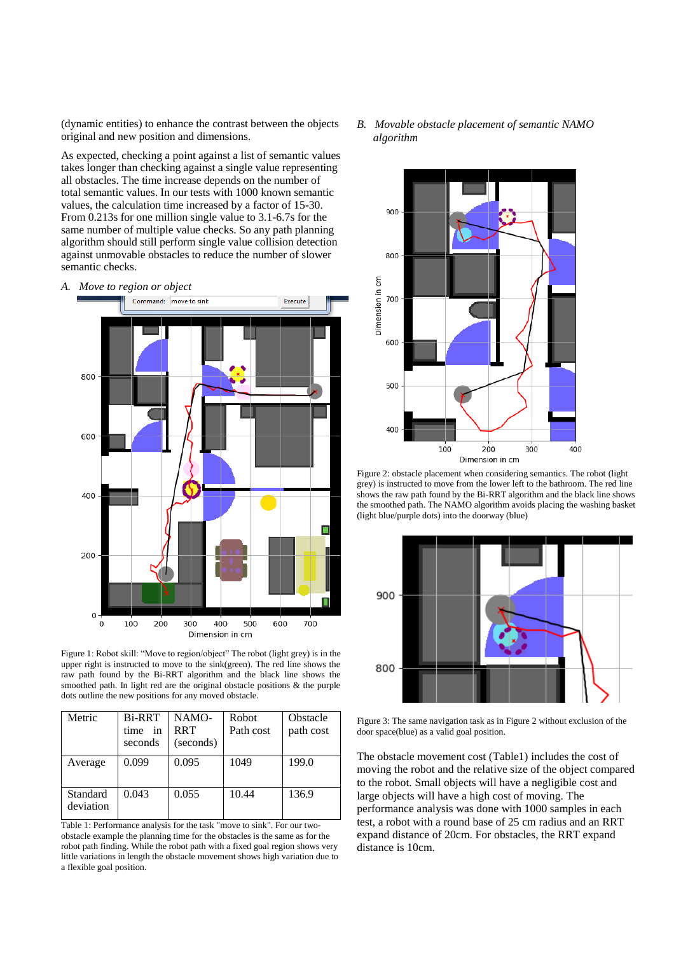(dynamic entities) to enhance the contrast between the objects original and new position and dimensions.

As expected, checking a point against a list of semantic values takes longer than checking against a single value representing all obstacles. The time increase depends on the number of total semantic values. In our tests with 1000 known semantic values, the calculation time increased by a factor of 15-30. From 0.213s for one million single value to 3.1-6.7s for the same number of multiple value checks. So any path planning algorithm should still perform single value collision detection against unmovable obstacles to reduce the number of slower semantic checks.

*A. Move to region or object*



Figure 1: Robot skill: "Move to region/object" The robot (light grey) is in the upper right is instructed to move to the sink(green). The red line shows the raw path found by the Bi-RRT algorithm and the black line shows the smoothed path. In light red are the original obstacle positions & the purple dots outline the new positions for any moved obstacle.

| Metric                | <b>Bi-RRT</b><br>in<br>time<br>seconds | NAMO-<br><b>RRT</b><br>(seconds) | Robot<br>Path cost | Obstacle<br>path cost |
|-----------------------|----------------------------------------|----------------------------------|--------------------|-----------------------|
| Average               | 0.099                                  | 0.095                            | 1049               | 199.0                 |
| Standard<br>deviation | 0.043                                  | 0.055                            | 10.44              | 136.9                 |

Table 1: Performance analysis for the task "move to sink". For our twoobstacle example the planning time for the obstacles is the same as for the robot path finding. While the robot path with a fixed goal region shows very little variations in length the obstacle movement shows high variation due to a flexible goal position.

*B. Movable obstacle placement of semantic NAMO algorithm*



Figure 2: obstacle placement when considering semantics. The robot (light grey) is instructed to move from the lower left to the bathroom. The red line shows the raw path found by the Bi-RRT algorithm and the black line shows the smoothed path. The NAMO algorithm avoids placing the washing basket (light blue/purple dots) into the doorway (blue)



Figure 3: The same navigation task as in Figure 2 without exclusion of the door space(blue) as a valid goal position.

The obstacle movement cost (Table1) includes the cost of moving the robot and the relative size of the object compared to the robot. Small objects will have a negligible cost and large objects will have a high cost of moving. The performance analysis was done with 1000 samples in each test, a robot with a round base of 25 cm radius and an RRT expand distance of 20cm. For obstacles, the RRT expand distance is 10cm.